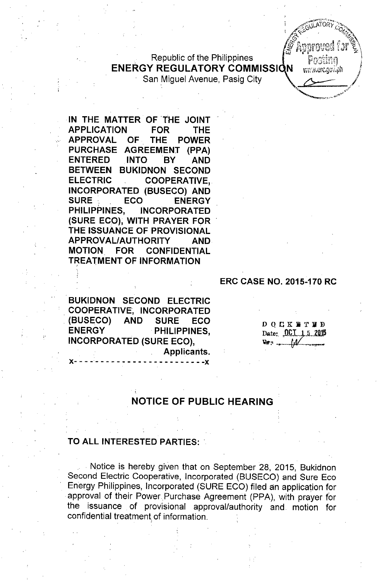Republic of the Philippines ENERGY REGULATORY COMMISSI

San Miguel Avenue, Pasig City

IN THE MATTER OF THE JOINT APPLICATION FOR THE APPROVAL OF THE POWER PURCHASE AGREEMENT (PPA) ENTERED INTO BY AND BETWEEN BUKIDNON SECOND ELECTRIC COOPERATIVE,. INCORPORATED (BUSECO) AND SURE . ECO ENERGY PHILIPPINES, INCORPORATED (SURE ECO), WITH PRAYER FOR THE IssuANCE OF PROVISIONAL APPROVAL/AUTHORITY AND MOTION FOR CONFIDENTIAL **TREATMENT OF INFORMATION** 

BUKIDNON SECOND ELECTRIC •. COOPERATIVE, INCORPORATED (BUSECO) AND SURE ECO ENERGY PHILIPPINES, INCORPORATED (SURE ECO),

x- - - -- - - - - - - - - - - - - - - - - -- - -x

Applicants.

ERC CASE NO. 2015-170 RC

DOCK **NT HD** Date:  $.0$ C.I..1.5.2015  $~\nabla$   $\vec{r}$  ,  $~\Delta$   $\Delta$ 

**REPARE GOLDA** 

## NOTICE OF PUBLIC HEARING

#### TO ALL INTERESTED PARTIES:

. Notice is hereby given that on September 28, 2015, Bukidnon Second Electric Cooperative, Incorporated (BUSECO) and Sure Eco Energy Philippines, Incorporated (SURE ECO) filed an application for approval of their Power Purchase Agreement (PPA), with prayer for the issuance of provisional approval/authority and. motion for confidential treatment of information.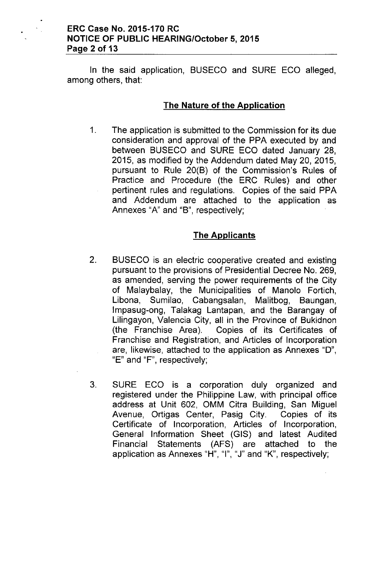#### ERC Case No. 2015-170 RC NOTICE OF PUBLIC HEARING/October 5,2015 Page 2 of 13

In the said application, BUSECO and SURE ECO alleged, among others, that:

### The Nature of the Application

1. The application is submitted to the Commission for its due consideration and approval of the PPA executed by and between BUSECO and SURE ECO dated January 28, 2015, as modified by the Addendum dated May 20,2015, pursuant to Rule 20(B) of the Commission's Rules of Practice and Procedure (the ERC Rules) and other pertinent rules and regulations. Copies of the said PPA and Addendum are attached to the application as Annexes "A" and "B", respectively;

## The Applicants

- 2. BUSECO is an electric cooperative created and existing pursuant to the provisions of Presidential Decree No. 269, as amended, serving the power requirements of the City of Malaybalay, the Municipalities of Manolo Fortich, Libona, Sumilao, Cabangsalan, Malitbog, Baungan, Impasug-ong, Talakag Lantapan, and the Barangay of Lilingayon, Valencia City, all in the Province of Bukidnon (the Franchise Area). Copies of its Certificates of Franchise and Registration, and Articles of Incorporation are, likewise, attached to the application as Annexes "0", "E" and "F", respectively;
- 3. SURE ECO is a corporation duly organized and registered under the Philippine Law, with principal office address at Unit 602, OMM Citra Building, San Miguel Avenue, Ortigas Center, Pasig City. Copies of its Certificate of Incorporation, Articles of Incorporation, General Information Sheet (GIS) and latest Audited Financial Statements (AFS) are attached to the application as Annexes "H", "I", "J" and "K", respectively;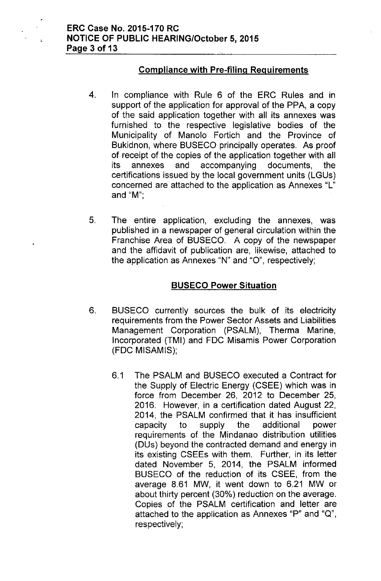## **Compliance with Pre-filing Requirements**

- 4. In compliance with Rule 6 of the ERC Rules and in support of the application for approval of the PPA, a copy of the said application together with all its annexes was furnished to the respective legislative bodies of the Municipality of Manolo Fortich and the Province of Bukidnon, where BUSECO principally operates. As proof of receipt of the copies of the application together with all its annexes and accompanying documents, the certifications issued by the local government units (LGUs) concerned are attached to the application as Annexes "L" and "M'",
- 5. The entire application, excluding the annexes, was published in a newspaper of general circulation within the Franchise Area of BUSECO. A copy of the newspaper and the affidavit of publication are, likewise, attached to the application as Annexes "N" and "O", respectively;

#### **BUSECO Power Situation**

- 6. BUSECO currently sources the bulk of its electricity requirements from the Power Sector Assets and Liabilities Management Corporation (PSALM), Therma Marine, Incorporated (TMI) and FDC Misamis Power Corporation (FDC MISAMIS);
	- 6.1 The PSALM and BUSECO executed a Contract for the Supply of Electric Energy (CSEE) which was in force from December 26, 2012 to December 25, 2016. However, in a certification dated August 22, 2014, the PSALM confirmed that it has insufficient capacity to supply the additional power requirements of the Mindanao distribution utilities (DUs) beyond the contracted demand and energy in its existing CSEEs with them. Further, in its letter dated November 5, 2014, the PSALM informed BUSECO of the reduction of its CSEE, from the average 8.61 MW, it went down to 6.21 MW or about thirty percent (30%) reduction on the average. Copies of the PSALM certification and letter are attached to the application as Annexes "P" and "Q", respectively;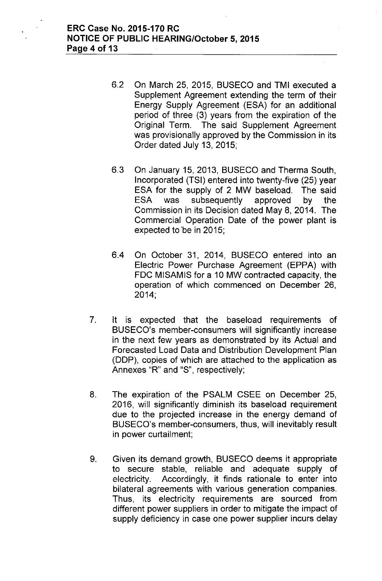- 6.2 On March 25, 2015, BUSECO and **TMI** executed a Supplement Agreement extending the term **of** their Energy Supply Agreement (ESA) for an additional period of three (3) years from the expiration of the Original Term. **The** said Supplement Agreement was provisionally approved by the Commission in its Order dated July 13, 2015;
- 6.3 On January 15, 2013, BUSECO and Therma South, Incorporated (TSI) entered into twenty-five (25) year ESA for the supply of 2 MW baseload. The said ESA was subsequently approved by the Commission in its Decision dated May 8,2014. The Commercial Operation Date of the power plant is expected to 'be in 2015;
- 6.4 On October 31, 2014, BUSECO entered into an Electric Power Purchase Agreement (EPPA) with FDC MISAMIS for a 10 MW contracted capacity, the operation of which commenced on December 26, 2014;
- 7. It is expected that the baseload requirements of BUSECO's member-consumers will significantly increase in the next few years as demonstrated by its Actual and Forecasted Load Data and Distribution Development Plan (DDP), copies of which are attached to the application as Annexes "R" and "S", respectively;
- 8. The expiration of the PSALM CSEE on December 25, 2016, will significantly diminish its baseload requirement due to the projected increase in the energy demand of BUSECO's member-consumers, thus, will inevitably result in power curtailment;
- 9. Given its demand growth, BUSECO deems it appropriate to secure stable, reliable and adequate supply of electricity. Accordingly, it finds rationale to enter into bilateral agreements with various generation companies. Thus, its electricity requirements are sourced from different power suppliers in order to mitigate the impact of supply deficiency in case one power supplier incurs delay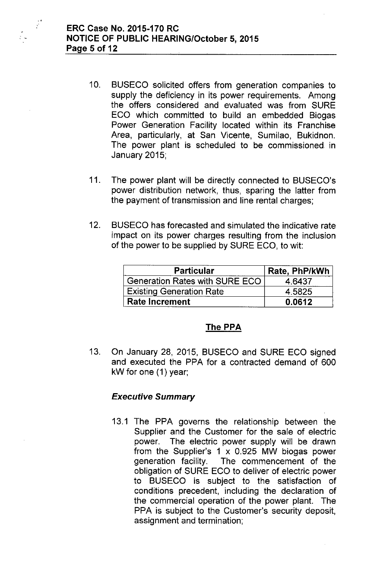..

 $\frac{1}{2}$ 

- 10. BUSECO solicited offers from generation companies to supply the deficiency in its power requirements. Among the offers considered and evaluated was from SURE ECO which committed to build an embedded Biogas Power Generation Facility located within its Franchise Area, particularly, at San Vicente, Sumilao, Bukidnon. The power plant is scheduled to be commissioned in January 2015;
- 11. The power plant will be directly connected to BUSECO's power distribution network, thus, sparing the latter from the payment of transmission and line rental charges;
- 12. BUSECO has forecasted and simulated the indicative rate impact on its power charges resulting from the inclusion of the power to be supplied by SURE ECO, to wit:

| <b>Particular</b>                     | Rate, PhP/kWh |
|---------------------------------------|---------------|
| <b>Generation Rates with SURE ECO</b> | 4 6437        |
| <b>Existing Generation Rate</b>       | 4.5825        |
| <b>Rate Increment</b>                 | 0.0612        |

## The PPA

13. On January 28, 2015, BUSECO and SURE ECO signed and executed the PPA for a contracted demand of 600 kW for one (1) year;

## *Executive Summary*

13.1 The PPA governs the relationship between the Supplier and the Customer for the sale of electric power. The electric power supply will be drawn from the Supplier's 1 x 0.925 MW biogas power generation facility. The commencement of the obligation of SURE ECO to deliver of electric power to BUSECO is subject to the satisfaction of conditions precedent, including the declaration of the commercial operation of the power plant. The PPA is subject to the Customer's security deposit, assignment and termination;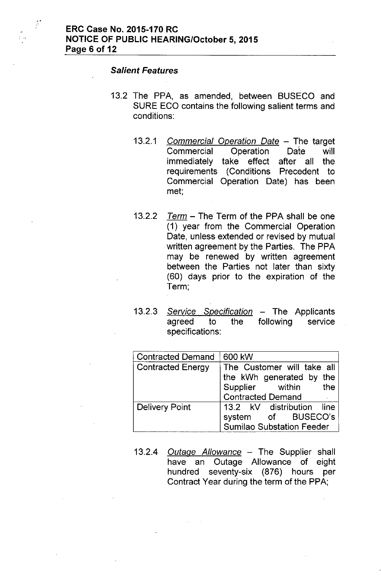#### *Salient Features*

.'

- 13.2 The PPA, as amended, between BUSECO and SURE ECO contains the following salient terms and conditions:
	- *13.2.1 Commercia/ Operation Date -* The target Commercial Operation Date will immediately take effect after all the requirements (Conditions Precedent to Commercial Operation Date) has been met;
	- *13.2.2 Term -* The Term of the PPA shall be one (1) year from the Commercial Operation Date, unless extended or revised by mutual written agreement by the Parties. The PPA may be renewed by written agreement between the Parties not later than sixty (60) days prior to the expiration of the Term;
	- 13.2.3 *Service Specification* The Applicants agreed to the specifications: following service

| <b>Contracted Demand</b> | 600 kW                                                                                                 |
|--------------------------|--------------------------------------------------------------------------------------------------------|
| <b>Contracted Energy</b> | The Customer will take all<br> the kWh generated by the<br>Supplier within<br>Contracted Demand<br>the |
|                          |                                                                                                        |
| <b>Delivery Point</b>    | 13.2 kV distribution line                                                                              |
|                          | system of BUSECO's                                                                                     |
|                          | <b>Sumilao Substation Feeder</b>                                                                       |

*13.2.4 Outage Allowance -* The Supplier shall have an Outage Allowance of eight hundred seventy-six (876) hours per Contract Year during the term of the PPA;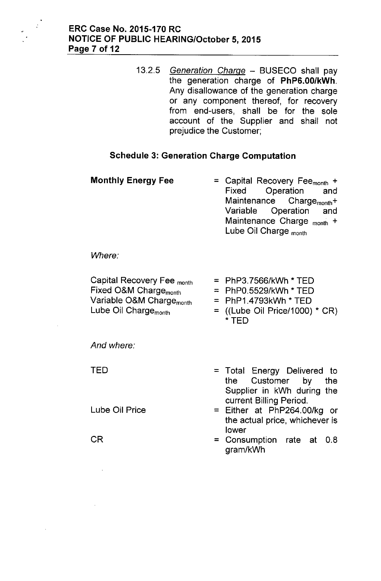*13.2.5 Generation Charge -* BUSECO shall pay the generation charge of PhP6.00/kWh. Any disallowance of the generation charge or any component thereof, for recovery from end-users, shall be for the sole account of the Supplier and shall not prejudice the Customer;

## Schedule 3: Generation Charge Computation

Monthly Energy Fee  $=$  Capital Recovery Fee<sub>month</sub> + Fixed Operation and Maintenance Charge<sub>month</sub>+ Variable Operation and Maintenance Charge  $_{\text{month}}$  + Lube Oil Charge <sub>month</sub>

*Where:*

| Capital Recovery Fee <sub>month</sub> | $=$ PhP3.7566/kWh * TED          |
|---------------------------------------|----------------------------------|
| Fixed O&M Charge <sub>month</sub>     | $=$ PhP0.5529/kWh $*$ TED        |
| Variable O&M Charge <sub>month</sub>  | $=$ PhP1.4793kWh $*$ TED         |
| Lube Oil Charge <sub>month</sub>      | $=$ ((Lube Oil Price/1000) * CR) |
|                                       | * TED                            |

*And where:*

TED

CR

Lube Oil Price

- = Total Energy Delivered to the Customer by the Supplier in kWh during the current Billing Period.
- = Either at PhP264.00/kg or the actual price, whichever is lower
- = Consumption rate at 0.8 gram/kWh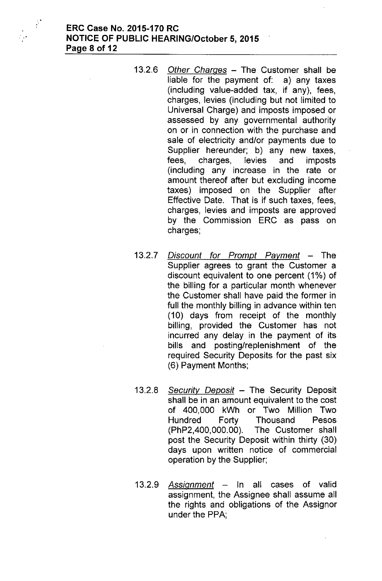$\hat{\mathcal{L}}$ 

 $\frac{1}{2}$ 

- *13.2.6 Other Charges -* The Customer shall be liable for the payment of: a) any taxes (including value-added tax, if any), fees, charges, levies (including but not limited to Universal Charge) and imposts imposed or assessed by any governmental authority on or in connection with the purchase and sale of electricity and/or payments due to Supplier hereunder; b) any new taxes, fees, charges, levies and imposts (including any increase in the rate or amount thereof after but excluding income taxes) imposed on the Supplier after Effective Date. That is if such taxes, fees, charges, levies and imposts are approved by the Commission ERC as pass on charges;
- *13.2.7 Discount for Prompt Payment -* The Supplier agrees to grant the Customer a discount equivalent to one percent (1%) of the billing for a particular month whenever the Customer shall have paid the former in full the monthly billing in advance within ten (10) days from receipt of the monthly billing, provided the Customer has not incurred any delay in the payment of its bills and posting/replenishment of the required Security Deposits for the past six (6) Payment Months;
- *13.2.8 Security Deposit -* The Security Deposit shall be in an amount equivalent to the cost of 400,000 kWh or Two Million Two Hundred Forty Thousand Pesos (PhP2,400,000.00). The Customer shall post the Security Deposit within thirty (30) days upon written notice of commercial operation by the Supplier;
- *13.2.9 Assignment -* In all cases of valid assignment, the Assignee shall assume all the rights and obligations of the Assignor under the PPA;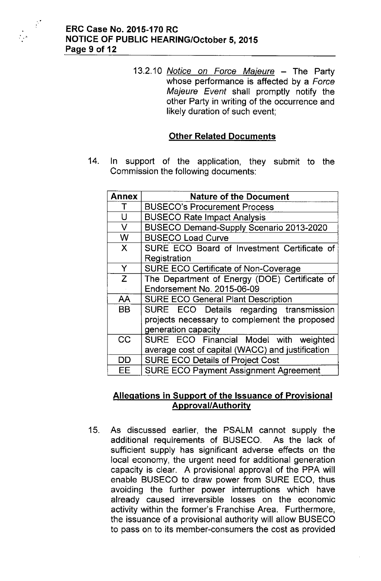

 $\frac{1}{2}$ 

 $\frac{1}{\sqrt{2}}$ 

*13.2.10 Notice on Force Majeure -* The Party whose performance is affected by a *Force Majeure Event* shall promptly notify the other Party in writing of the occurrence and likely duration of such event;

## **Other Related Documents**

14. In support of the application, they submit to the Commission the following documents:

| <b>Annex</b> | <b>Nature of the Document</b>                    |
|--------------|--------------------------------------------------|
|              | <b>BUSECO's Procurement Process</b>              |
| U            | <b>BUSECO Rate Impact Analysis</b>               |
| V            | BUSECO Demand-Supply Scenario 2013-2020          |
| W            | <b>BUSECO Load Curve</b>                         |
| X            | SURE ECO Board of Investment Certificate of      |
|              | Registration                                     |
| Y            | <b>SURE ECO Certificate of Non-Coverage</b>      |
| Z            | The Department of Energy (DOE) Certificate of    |
|              | <b>Endorsement No. 2015-06-09</b>                |
| AA           | <b>SURE ECO General Plant Description</b>        |
| <b>BB</b>    | SURE ECO Details regarding transmission          |
|              | projects necessary to complement the proposed    |
|              | generation capacity                              |
| CC           | SURE ECO Financial Model with weighted           |
|              | average cost of capital (WACC) and justification |
| DD           | <b>SURE ECO Details of Project Cost</b>          |
| EЕ           | <b>SURE ECO Payment Assignment Agreement</b>     |

## **Allegations in Support of the Issuance of Provisional Approval/Authority**

15. As discussed earlier, the PSALM cannot supply the additional requirements of BUSECO. As the lack of sufficient supply has significant adverse effects on the local economy, the urgent need for additional generation capacity is clear. A provisional approval of the PPA will enable BUSECO to draw power from SURE ECO, thus avoiding the further power interruptions which have already caused irreversible losses on the economic activity within the former's Franchise Area. Furthermore, the issuance of a provisional authority will allow BUSECO to pass on to its member-consumers the cost as provided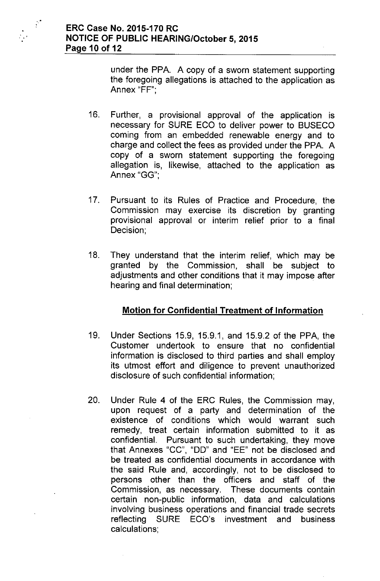under the PPA. A copy of a sworn statement supporting the foregoing allegations is attached to the application as Annex "FF'",

- 16. Further, a provisional approval of the application is necessary for SURE ECO to deliver power to BUSECO coming from an embedded renewable energy and to charge and collect the fees as provided under the PPA. A copy of a sworn statement supporting the foregoing allegation is, likewise, attached to the application as Annex "GG'",
- 17. Pursuant to its Rules of Practice and Procedure, the Commission may exercise its discretion by granting provisional approval or interim relief prior to a final Decision;
- 18. They understand that the interim relief, which may be granted by the Commission, shall be subject to adjustments and other conditions that it may impose after hearing and final determination;

# **Motion for Confidential Treatment of Information**

- 19. Under Sections 15.9, 15.9.1, and 15.9.2 of the PPA, the Customer undertook to ensure that no confidential information is disclosed to third parties and shall employ its utmost effort and diligence to prevent unauthorized disclosure of such confidential information;
- 20. Under Rule 4 of the ERC Rules, the Commission may, upon request of a party and determination of the existence of conditions which would warrant such remedy, treat certain information submitted to it as confidential. Pursuant to such undertaking, they move that Annexes "CC", "DO" and "EE" not be disclosed and be treated as confidential documents in accordance with the said Rule and, accordingly, not to be disclosed to persons other than the officers and staff of the Commission, as necessary. These documents contain certain non-public information, data and calculations involving business operations and financial trade secrets reflecting SURE ECO's investment and business calculations;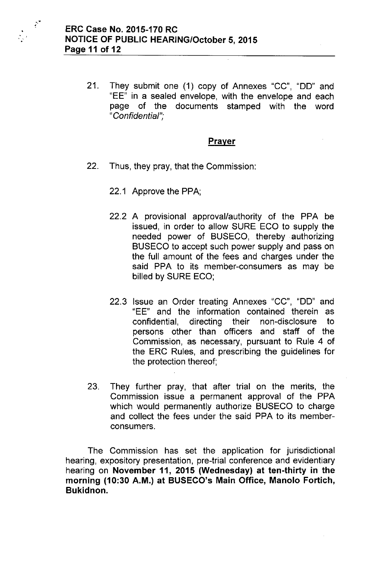

21. They submit one (1) copy of Annexes "CC", "DO" and "EE" in a sealed envelope, with the envelope and each page of the documents stamped with the word *"Confidential'"*,

## **Prayer**

- 22, Thus, they pray, that the Commission:
	- 22.1 Approve the PPA;
	- 22.2 A provisional approval/authority of the PPA be issued, in order to allow SURE ECO to supply the needed power of BUSECO, thereby authorizing BUSECO to accept such power supply and pass on the full amount of the fees and charges under the said PPA to its member-consumers as may be billed by SURE ECO;
	- 22.3 Issue an Order treating Annexes "CC", "DO" and "EE" and the information contained therein as confidential, directing their non-disclosure to persons other than officers and staff of the Commission, as necessary, pursuant to Rule 4 of the ERC Rules, and prescribing the guidelines for the protection thereof;
- 23, They further pray, that after trial on the merits, the Commission issue a permanent approval of the PPA which would permanently authorize BUSECO to charge and collect the fees under the said PPA to its memberconsumers,

The Commission has set the application for jurisdictional hearing, expository presentation, pre-trial conference and evidentiary hearing on November 11, 2015 (Wednesday) at ten-thirty in the morning (10:30 A.M.) at BUSECO's Main Office, Manolo Fortich, Bukidnon.